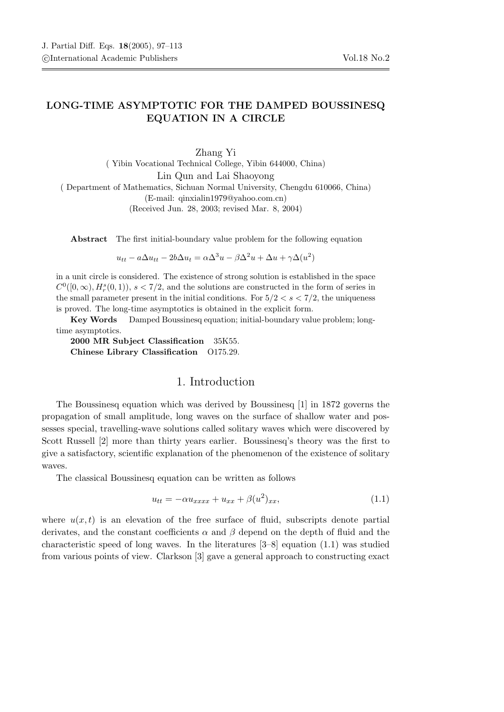## LONG-TIME ASYMPTOTIC FOR THE DAMPED BOUSSINESQ EQUATION IN A CIRCLE

Zhang Yi ( Yibin Vocational Technical College, Yibin 644000, China) Lin Qun and Lai Shaoyong ( Department of Mathematics, Sichuan Normal University, Chengdu 610066, China) (E-mail: qinxialin1979@yahoo.com.cn) (Received Jun. 28, 2003; revised Mar. 8, 2004)

Abstract The first initial-boundary value problem for the following equation

 $u_{tt} - a\Delta u_{tt} - 2b\Delta u_t = \alpha \Delta^3 u - \beta \Delta^2 u + \Delta u + \gamma \Delta(u^2)$ 

in a unit circle is considered. The existence of strong solution is established in the space  $C^0([0,\infty), H_r^s(0,1)), s < 7/2$ , and the solutions are constructed in the form of series in the small parameter present in the initial conditions. For  $5/2 < s < 7/2$ , the uniqueness is proved. The long-time asymptotics is obtained in the explicit form.

Key Words Damped Boussinesq equation; initial-boundary value problem; longtime asymptotics.

2000 MR Subject Classification 35K55. Chinese Library Classification O175.29.

## 1. Introduction

The Boussinesq equation which was derived by Boussinesq [1] in 1872 governs the propagation of small amplitude, long waves on the surface of shallow water and possesses special, travelling-wave solutions called solitary waves which were discovered by Scott Russell [2] more than thirty years earlier. Boussinesq's theory was the first to give a satisfactory, scientific explanation of the phenomenon of the existence of solitary waves.

The classical Boussinesq equation can be written as follows

$$
u_{tt} = -\alpha u_{xxxx} + u_{xx} + \beta (u^2)_{xx}, \qquad (1.1)
$$

where  $u(x, t)$  is an elevation of the free surface of fluid, subscripts denote partial derivates, and the constant coefficients  $\alpha$  and  $\beta$  depend on the depth of fluid and the characteristic speed of long waves. In the literatures [3–8] equation (1.1) was studied from various points of view. Clarkson [3] gave a general approach to constructing exact